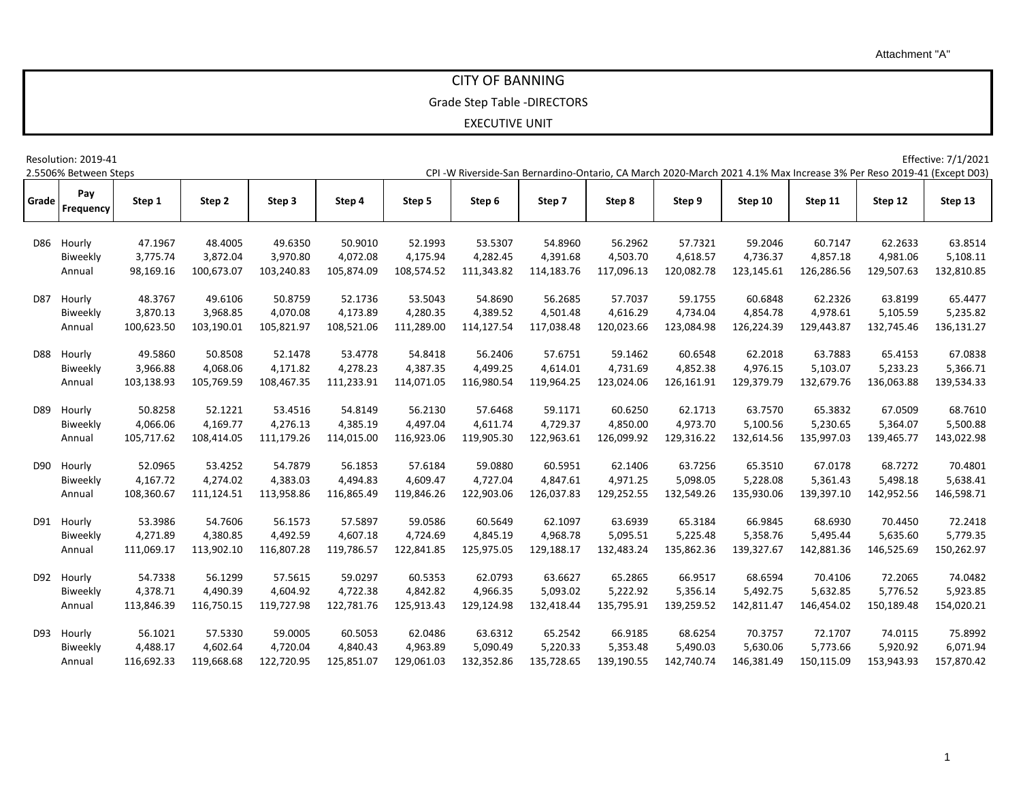## CITY OF BANNING Grade Step Table -DIRECTORS

### EXECUTIVE UNIT

|       | Resolution: 2019-41<br>2.5506% Between Steps |            |            |            |            |            |            | CPI -W Riverside-San Bernardino-Ontario, CA March 2020-March 2021 4.1% Max Increase 3% Per Reso 2019-41 (Except D03) |            |            |            |            |            | Effective: 7/1/2021 |
|-------|----------------------------------------------|------------|------------|------------|------------|------------|------------|----------------------------------------------------------------------------------------------------------------------|------------|------------|------------|------------|------------|---------------------|
| Grade | Pay<br><b>Frequency</b>                      | Step 1     | Step 2     | Step 3     | Step 4     | Step 5     | Step 6     | Step 7                                                                                                               | Step 8     | Step 9     | Step 10    | Step 11    | Step 12    | Step 13             |
| D86   | Hourly                                       | 47.1967    | 48.4005    | 49.6350    | 50.9010    | 52.1993    | 53.5307    | 54.8960                                                                                                              | 56.2962    | 57.7321    | 59.2046    | 60.7147    | 62.2633    | 63.8514             |
|       | Biweekly                                     | 3,775.74   | 3,872.04   | 3,970.80   | 4,072.08   | 4,175.94   | 4,282.45   | 4,391.68                                                                                                             | 4,503.70   | 4,618.57   | 4,736.37   | 4,857.18   | 4,981.06   | 5,108.11            |
|       | Annual                                       | 98,169.16  | 100,673.07 | 103,240.83 | 105,874.09 | 108,574.52 | 111,343.82 | 114,183.76                                                                                                           | 117,096.13 | 120,082.78 | 123,145.61 | 126,286.56 | 129,507.63 | 132,810.85          |
|       |                                              |            |            |            |            |            |            |                                                                                                                      |            |            |            |            |            |                     |
| D87   | Hourly                                       | 48.3767    | 49.6106    | 50.8759    | 52.1736    | 53.5043    | 54.8690    | 56.2685                                                                                                              | 57.7037    | 59.1755    | 60.6848    | 62.2326    | 63.8199    | 65.4477             |
|       | Biweekly                                     | 3,870.13   | 3,968.85   | 4,070.08   | 4,173.89   | 4,280.35   | 4,389.52   | 4,501.48                                                                                                             | 4,616.29   | 4,734.04   | 4,854.78   | 4,978.61   | 5,105.59   | 5,235.82            |
|       | Annual                                       | 100,623.50 | 103,190.01 | 105,821.97 | 108,521.06 | 111,289.00 | 114,127.54 | 117,038.48                                                                                                           | 120,023.66 | 123,084.98 | 126,224.39 | 129,443.87 | 132,745.46 | 136,131.27          |
|       |                                              |            |            |            |            |            |            |                                                                                                                      |            |            |            |            |            |                     |
| D88   | Hourly                                       | 49.5860    | 50.8508    | 52.1478    | 53.4778    | 54.8418    | 56.2406    | 57.6751                                                                                                              | 59.1462    | 60.6548    | 62.2018    | 63.7883    | 65.4153    | 67.0838             |
|       | Biweekly                                     | 3,966.88   | 4,068.06   | 4,171.82   | 4,278.23   | 4,387.35   | 4,499.25   | 4,614.01                                                                                                             | 4,731.69   | 4,852.38   | 4,976.15   | 5,103.07   | 5,233.23   | 5,366.71            |
|       | Annual                                       | 103,138.93 | 105,769.59 | 108,467.35 | 111,233.91 | 114,071.05 | 116,980.54 | 119,964.25                                                                                                           | 123,024.06 | 126,161.91 | 129,379.79 | 132,679.76 | 136,063.88 | 139,534.33          |
| D89   | Hourly                                       | 50.8258    | 52.1221    | 53.4516    | 54.8149    | 56.2130    | 57.6468    | 59.1171                                                                                                              | 60.6250    | 62.1713    | 63.7570    | 65.3832    | 67.0509    | 68.7610             |
|       | Biweekly                                     | 4,066.06   | 4,169.77   | 4,276.13   | 4,385.19   | 4,497.04   | 4,611.74   | 4,729.37                                                                                                             | 4,850.00   | 4,973.70   | 5,100.56   | 5,230.65   | 5,364.07   | 5,500.88            |
|       | Annual                                       | 105,717.62 | 108,414.05 | 111,179.26 | 114,015.00 | 116,923.06 | 119,905.30 | 122,963.61                                                                                                           | 126,099.92 | 129,316.22 | 132,614.56 | 135,997.03 | 139,465.77 | 143,022.98          |
|       |                                              |            |            |            |            |            |            |                                                                                                                      |            |            |            |            |            |                     |
| D90   | Hourly                                       | 52.0965    | 53.4252    | 54.7879    | 56.1853    | 57.6184    | 59.0880    | 60.5951                                                                                                              | 62.1406    | 63.7256    | 65.3510    | 67.0178    | 68.7272    | 70.4801             |
|       | Biweekly                                     | 4,167.72   | 4,274.02   | 4,383.03   | 4,494.83   | 4,609.47   | 4,727.04   | 4,847.61                                                                                                             | 4,971.25   | 5,098.05   | 5,228.08   | 5,361.43   | 5,498.18   | 5,638.41            |
|       | Annual                                       | 108,360.67 | 111,124.51 | 113,958.86 | 116,865.49 | 119,846.26 | 122,903.06 | 126,037.83                                                                                                           | 129,252.55 | 132,549.26 | 135,930.06 | 139,397.10 | 142,952.56 | 146,598.71          |
| D91   | Hourly                                       | 53.3986    | 54.7606    | 56.1573    | 57.5897    | 59.0586    | 60.5649    | 62.1097                                                                                                              | 63.6939    | 65.3184    | 66.9845    | 68.6930    | 70.4450    | 72.2418             |
|       | Biweekly                                     | 4,271.89   | 4,380.85   | 4,492.59   | 4,607.18   | 4,724.69   | 4,845.19   | 4,968.78                                                                                                             | 5,095.51   | 5,225.48   | 5,358.76   | 5,495.44   | 5,635.60   | 5,779.35            |
|       | Annual                                       | 111,069.17 | 113,902.10 | 116,807.28 | 119,786.57 | 122,841.85 | 125,975.05 | 129,188.17                                                                                                           | 132,483.24 | 135,862.36 | 139,327.67 | 142,881.36 | 146,525.69 | 150,262.97          |
|       |                                              |            |            |            |            |            |            |                                                                                                                      |            |            |            |            |            |                     |
| D92   | Hourly                                       | 54.7338    | 56.1299    | 57.5615    | 59.0297    | 60.5353    | 62.0793    | 63.6627                                                                                                              | 65.2865    | 66.9517    | 68.6594    | 70.4106    | 72.2065    | 74.0482             |
|       | Biweekly                                     | 4,378.71   | 4,490.39   | 4,604.92   | 4,722.38   | 4,842.82   | 4,966.35   | 5,093.02                                                                                                             | 5,222.92   | 5,356.14   | 5,492.75   | 5,632.85   | 5,776.52   | 5,923.85            |
|       | Annual                                       | 113,846.39 | 116,750.15 | 119,727.98 | 122,781.76 | 125,913.43 | 129,124.98 | 132,418.44                                                                                                           | 135,795.91 | 139,259.52 | 142,811.47 | 146,454.02 | 150,189.48 | 154,020.21          |
| D93   | Hourly                                       | 56.1021    | 57.5330    | 59.0005    | 60.5053    | 62.0486    | 63.6312    | 65.2542                                                                                                              | 66.9185    | 68.6254    | 70.3757    | 72.1707    | 74.0115    | 75.8992             |
|       | Biweekly                                     | 4,488.17   | 4,602.64   | 4,720.04   | 4,840.43   | 4,963.89   | 5,090.49   | 5,220.33                                                                                                             | 5,353.48   | 5,490.03   | 5,630.06   | 5,773.66   | 5,920.92   | 6,071.94            |
|       | Annual                                       | 116,692.33 | 119,668.68 | 122,720.95 | 125,851.07 | 129,061.03 | 132,352.86 | 135,728.65                                                                                                           | 139,190.55 | 142,740.74 | 146,381.49 | 150,115.09 | 153,943.93 | 157,870.42          |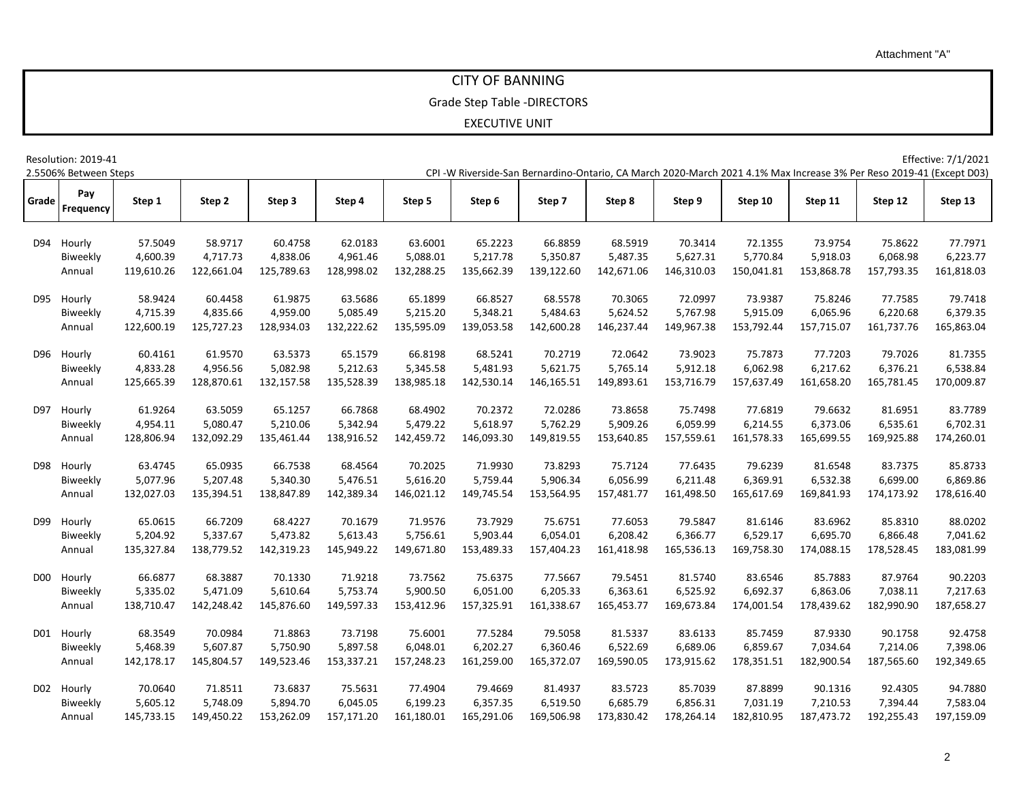## CITY OF BANNING Grade Step Table -DIRECTORS

### EXECUTIVE UNIT

|                 | Resolution: 2019-41<br>2.5506% Between Steps |            |            |            |            |            |            |            | CPI -W Riverside-San Bernardino-Ontario, CA March 2020-March 2021 4.1% Max Increase 3% Per Reso 2019-41 (Except D03) |            |            |            |            | Effective: 7/1/2021 |
|-----------------|----------------------------------------------|------------|------------|------------|------------|------------|------------|------------|----------------------------------------------------------------------------------------------------------------------|------------|------------|------------|------------|---------------------|
| Grade           | Pay<br>Frequency                             | Step 1     | Step 2     | Step 3     | Step 4     | Step 5     | Step 6     | Step 7     | Step 8                                                                                                               | Step 9     | Step 10    | Step 11    | Step 12    | Step 13             |
| D94             | Hourly                                       | 57.5049    | 58.9717    | 60.4758    | 62.0183    | 63.6001    | 65.2223    | 66.8859    | 68.5919                                                                                                              | 70.3414    | 72.1355    | 73.9754    | 75.8622    | 77.7971             |
|                 | Biweekly                                     | 4,600.39   | 4,717.73   | 4,838.06   | 4,961.46   | 5,088.01   | 5,217.78   | 5,350.87   | 5,487.35                                                                                                             | 5,627.31   | 5,770.84   | 5,918.03   | 6,068.98   | 6,223.77            |
|                 | Annual                                       | 119,610.26 | 122,661.04 | 125,789.63 | 128,998.02 | 132,288.25 | 135,662.39 | 139,122.60 | 142,671.06                                                                                                           | 146,310.03 | 150,041.81 | 153,868.78 | 157,793.35 | 161,818.03          |
| D95             | Hourly                                       | 58.9424    | 60.4458    | 61.9875    | 63.5686    | 65.1899    | 66.8527    | 68.5578    | 70.3065                                                                                                              | 72.0997    | 73.9387    | 75.8246    | 77.7585    | 79.7418             |
|                 | Biweekly                                     | 4,715.39   | 4,835.66   | 4,959.00   | 5,085.49   | 5,215.20   | 5,348.21   | 5,484.63   | 5,624.52                                                                                                             | 5,767.98   | 5,915.09   | 6,065.96   | 6,220.68   | 6,379.35            |
|                 | Annual                                       | 122,600.19 | 125,727.23 | 128,934.03 | 132,222.62 | 135,595.09 | 139,053.58 | 142,600.28 | 146,237.44                                                                                                           | 149,967.38 | 153,792.44 | 157,715.07 | 161,737.76 | 165,863.04          |
| D96             | Hourly                                       | 60.4161    | 61.9570    | 63.5373    | 65.1579    | 66.8198    | 68.5241    | 70.2719    | 72.0642                                                                                                              | 73.9023    | 75.7873    | 77.7203    | 79.7026    | 81.7355             |
|                 | Biweekly                                     | 4,833.28   | 4,956.56   | 5,082.98   | 5,212.63   | 5,345.58   | 5,481.93   | 5,621.75   | 5,765.14                                                                                                             | 5,912.18   | 6,062.98   | 6,217.62   | 6,376.21   | 6,538.84            |
|                 | Annual                                       | 125,665.39 | 128,870.61 | 132,157.58 | 135,528.39 | 138,985.18 | 142,530.14 | 146,165.51 | 149,893.61                                                                                                           | 153,716.79 | 157,637.49 | 161,658.20 | 165,781.45 | 170,009.87          |
| D97             | Hourly                                       | 61.9264    | 63.5059    | 65.1257    | 66.7868    | 68.4902    | 70.2372    | 72.0286    | 73.8658                                                                                                              | 75.7498    | 77.6819    | 79.6632    | 81.6951    | 83.7789             |
|                 | Biweekly                                     | 4,954.11   | 5,080.47   | 5,210.06   | 5,342.94   | 5,479.22   | 5,618.97   | 5,762.29   | 5,909.26                                                                                                             | 6,059.99   | 6,214.55   | 6,373.06   | 6,535.61   | 6,702.31            |
|                 | Annual                                       | 128,806.94 | 132,092.29 | 135,461.44 | 138,916.52 | 142,459.72 | 146,093.30 | 149,819.55 | 153,640.85                                                                                                           | 157,559.61 | 161,578.33 | 165,699.55 | 169,925.88 | 174,260.01          |
| D98             | Hourly                                       | 63.4745    | 65.0935    | 66.7538    | 68.4564    | 70.2025    | 71.9930    | 73.8293    | 75.7124                                                                                                              | 77.6435    | 79.6239    | 81.6548    | 83.7375    | 85.8733             |
|                 | Biweekly                                     | 5,077.96   | 5,207.48   | 5,340.30   | 5,476.51   | 5,616.20   | 5,759.44   | 5,906.34   | 6,056.99                                                                                                             | 6,211.48   | 6,369.91   | 6,532.38   | 6,699.00   | 6,869.86            |
|                 | Annual                                       | 132,027.03 | 135,394.51 | 138,847.89 | 142,389.34 | 146,021.12 | 149,745.54 | 153,564.95 | 157,481.77                                                                                                           | 161,498.50 | 165,617.69 | 169,841.93 | 174,173.92 | 178,616.40          |
| D99             | Hourly                                       | 65.0615    | 66.7209    | 68.4227    | 70.1679    | 71.9576    | 73.7929    | 75.6751    | 77.6053                                                                                                              | 79.5847    | 81.6146    | 83.6962    | 85.8310    | 88.0202             |
|                 | Biweekly                                     | 5,204.92   | 5,337.67   | 5,473.82   | 5,613.43   | 5,756.61   | 5,903.44   | 6,054.01   | 6,208.42                                                                                                             | 6,366.77   | 6,529.17   | 6,695.70   | 6,866.48   | 7,041.62            |
|                 | Annual                                       | 135,327.84 | 138,779.52 | 142,319.23 | 145,949.22 | 149,671.80 | 153,489.33 | 157,404.23 | 161,418.98                                                                                                           | 165,536.13 | 169,758.30 | 174,088.15 | 178,528.45 | 183,081.99          |
| D <sub>0</sub>  | Hourly                                       | 66.6877    | 68.3887    | 70.1330    | 71.9218    | 73.7562    | 75.6375    | 77.5667    | 79.5451                                                                                                              | 81.5740    | 83.6546    | 85.7883    | 87.9764    | 90.2203             |
|                 | Biweekly                                     | 5,335.02   | 5,471.09   | 5,610.64   | 5,753.74   | 5,900.50   | 6,051.00   | 6,205.33   | 6,363.61                                                                                                             | 6,525.92   | 6,692.37   | 6,863.06   | 7,038.11   | 7,217.63            |
|                 | Annual                                       | 138,710.47 | 142,248.42 | 145,876.60 | 149,597.33 | 153,412.96 | 157,325.91 | 161,338.67 | 165,453.77                                                                                                           | 169,673.84 | 174,001.54 | 178,439.62 | 182,990.90 | 187,658.27          |
| D01             | Hourly                                       | 68.3549    | 70.0984    | 71.8863    | 73.7198    | 75.6001    | 77.5284    | 79.5058    | 81.5337                                                                                                              | 83.6133    | 85.7459    | 87.9330    | 90.1758    | 92.4758             |
|                 | Biweekly                                     | 5,468.39   | 5,607.87   | 5,750.90   | 5,897.58   | 6,048.01   | 6,202.27   | 6,360.46   | 6,522.69                                                                                                             | 6,689.06   | 6,859.67   | 7,034.64   | 7,214.06   | 7,398.06            |
|                 | Annual                                       | 142,178.17 | 145,804.57 | 149,523.46 | 153,337.21 | 157,248.23 | 161,259.00 | 165,372.07 | 169,590.05                                                                                                           | 173,915.62 | 178,351.51 | 182,900.54 | 187,565.60 | 192,349.65          |
| D <sub>02</sub> | Hourly                                       | 70.0640    | 71.8511    | 73.6837    | 75.5631    | 77.4904    | 79.4669    | 81.4937    | 83.5723                                                                                                              | 85.7039    | 87.8899    | 90.1316    | 92.4305    | 94.7880             |
|                 | Biweekly                                     | 5,605.12   | 5,748.09   | 5,894.70   | 6,045.05   | 6,199.23   | 6,357.35   | 6,519.50   | 6,685.79                                                                                                             | 6,856.31   | 7,031.19   | 7,210.53   | 7,394.44   | 7,583.04            |
|                 | Annual                                       | 145,733.15 | 149,450.22 | 153,262.09 | 157,171.20 | 161,180.01 | 165,291.06 | 169,506.98 | 173,830.42                                                                                                           | 178,264.14 | 182,810.95 | 187,473.72 | 192,255.43 | 197,159.09          |

2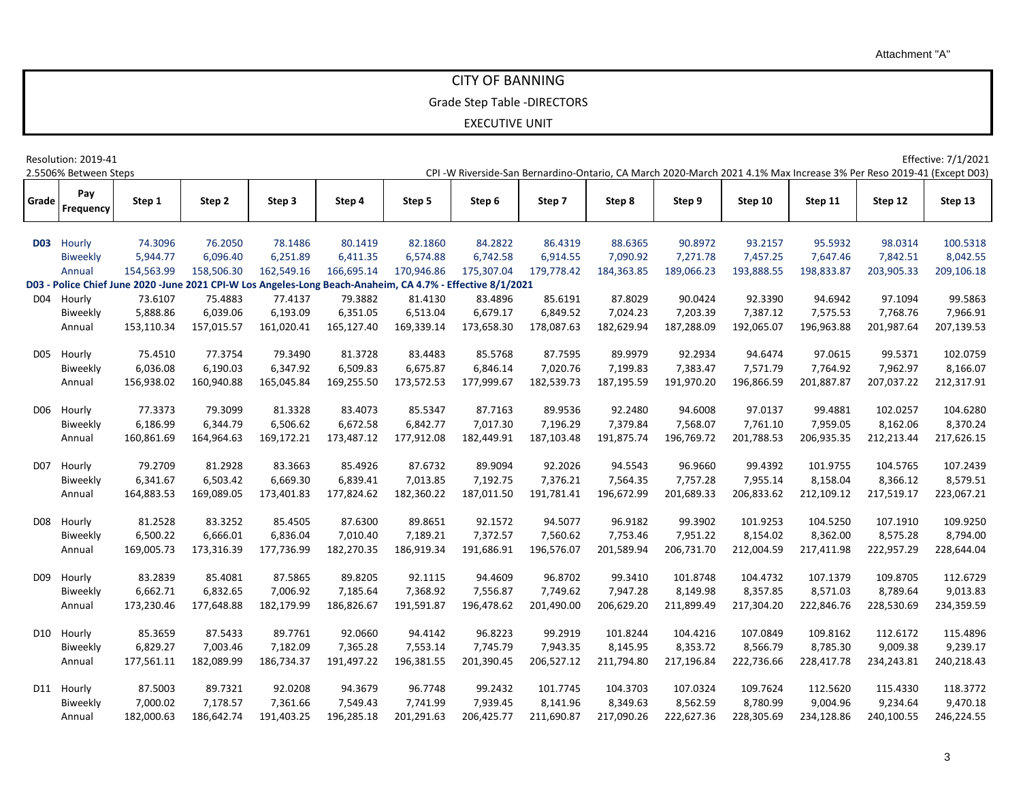## CITY OF BANNING

## Grade Step Table -DIRECTORS

## EXECUTIVE UNIT

|                 | Resolution: 2019-41<br>2.5506% Between Steps |            |            |                                                                                                            |            |            |            |            | CPI -W Riverside-San Bernardino-Ontario, CA March 2020-March 2021 4.1% Max Increase 3% Per Reso 2019-41 (Except D03) |            |            |            |            | Effective: 7/1/2021 |
|-----------------|----------------------------------------------|------------|------------|------------------------------------------------------------------------------------------------------------|------------|------------|------------|------------|----------------------------------------------------------------------------------------------------------------------|------------|------------|------------|------------|---------------------|
| Grade           | Pay<br>Frequency                             | Step 1     | Step 2     | Step 3                                                                                                     | Step 4     | Step 5     | Step 6     | Step 7     | Step 8                                                                                                               | Step 9     | Step 10    | Step 11    | Step 12    | Step 13             |
|                 | D03 Hourly                                   | 74.3096    | 76.2050    | 78.1486                                                                                                    | 80.1419    | 82.1860    | 84.2822    | 86.4319    | 88.6365                                                                                                              | 90.8972    | 93.2157    | 95.5932    | 98.0314    | 100.5318            |
|                 | <b>Biweekly</b>                              | 5,944.77   | 6,096.40   | 6,251.89                                                                                                   | 6,411.35   | 6,574.88   | 6,742.58   | 6,914.55   | 7,090.92                                                                                                             | 7,271.78   | 7,457.25   | 7,647.46   | 7,842.51   | 8,042.55            |
|                 | Annual                                       | 154,563.99 | 158,506.30 | 162,549.16                                                                                                 | 166,695.14 | 170,946.86 | 175,307.04 | 179,778.42 | 184,363.85                                                                                                           | 189,066.23 | 193,888.55 | 198,833.87 | 203,905.33 | 209,106.18          |
|                 |                                              |            |            | D03 - Police Chief June 2020 -June 2021 CPI-W Los Angeles-Long Beach-Anaheim, CA 4.7% - Effective 8/1/2021 |            |            |            |            |                                                                                                                      |            |            |            |            |                     |
| D <sub>04</sub> | Hourly                                       | 73.6107    | 75.4883    | 77.4137                                                                                                    | 79.3882    | 81.4130    | 83.4896    | 85.6191    | 87.8029                                                                                                              | 90.0424    | 92.3390    | 94.6942    | 97.1094    | 99.5863             |
|                 | Biweekly                                     | 5,888.86   | 6,039.06   | 6,193.09                                                                                                   | 6,351.05   | 6,513.04   | 6,679.17   | 6,849.52   | 7,024.23                                                                                                             | 7,203.39   | 7,387.12   | 7,575.53   | 7,768.76   | 7,966.91            |
|                 | Annual                                       | 153,110.34 | 157,015.57 | 161,020.41                                                                                                 | 165,127.40 | 169,339.14 | 173,658.30 | 178,087.63 | 182,629.94                                                                                                           | 187,288.09 | 192,065.07 | 196,963.88 | 201,987.64 | 207,139.53          |
| <b>D05</b>      | Hourly                                       | 75.4510    | 77.3754    | 79.3490                                                                                                    | 81.3728    | 83.4483    | 85.5768    | 87.7595    | 89.9979                                                                                                              | 92.2934    | 94.6474    | 97.0615    | 99.5371    | 102.0759            |
|                 | Biweekly                                     | 6,036.08   | 6,190.03   | 6,347.92                                                                                                   | 6,509.83   | 6,675.87   | 6,846.14   | 7,020.76   | 7,199.83                                                                                                             | 7,383.47   | 7,571.79   | 7,764.92   | 7,962.97   | 8,166.07            |
|                 | Annual                                       | 156,938.02 | 160,940.88 | 165,045.84                                                                                                 | 169,255.50 | 173,572.53 | 177,999.67 | 182,539.73 | 187,195.59                                                                                                           | 191,970.20 | 196,866.59 | 201,887.87 | 207,037.22 | 212,317.91          |
| DO6             | Hourly                                       | 77.3373    | 79.3099    | 81.3328                                                                                                    | 83.4073    | 85.5347    | 87.7163    | 89.9536    | 92.2480                                                                                                              | 94.6008    | 97.0137    | 99.4881    | 102.0257   | 104.6280            |
|                 | Biweekly                                     | 6,186.99   | 6,344.79   | 6,506.62                                                                                                   | 6,672.58   | 6,842.77   | 7,017.30   | 7,196.29   | 7,379.84                                                                                                             | 7,568.07   | 7,761.10   | 7,959.05   | 8,162.06   | 8,370.24            |
|                 | Annual                                       | 160,861.69 | 164,964.63 | 169,172.21                                                                                                 | 173,487.12 | 177,912.08 | 182,449.91 | 187,103.48 | 191,875.74                                                                                                           | 196,769.72 | 201,788.53 | 206,935.35 | 212,213.44 | 217,626.15          |
| D07             | Hourly                                       | 79.2709    | 81.2928    | 83.3663                                                                                                    | 85.4926    | 87.6732    | 89.9094    | 92.2026    | 94.5543                                                                                                              | 96.9660    | 99.4392    | 101.9755   | 104.5765   | 107.2439            |
|                 | Biweekly                                     | 6,341.67   | 6,503.42   | 6,669.30                                                                                                   | 6,839.41   | 7,013.85   | 7,192.75   | 7,376.21   | 7,564.35                                                                                                             | 7,757.28   | 7,955.14   | 8,158.04   | 8,366.12   | 8,579.51            |
|                 | Annual                                       | 164,883.53 | 169,089.05 | 173,401.83                                                                                                 | 177,824.62 | 182,360.22 | 187,011.50 | 191,781.41 | 196,672.99                                                                                                           | 201,689.33 | 206,833.62 | 212,109.12 | 217,519.17 | 223,067.21          |
| D <sub>08</sub> | Hourly                                       | 81.2528    | 83.3252    | 85.4505                                                                                                    | 87.6300    | 89.8651    | 92.1572    | 94.5077    | 96.9182                                                                                                              | 99.3902    | 101.9253   | 104.5250   | 107.1910   | 109.9250            |
|                 | Biweekly                                     | 6,500.22   | 6,666.01   | 6,836.04                                                                                                   | 7,010.40   | 7,189.21   | 7,372.57   | 7,560.62   | 7,753.46                                                                                                             | 7,951.22   | 8,154.02   | 8,362.00   | 8,575.28   | 8,794.00            |
|                 | Annual                                       | 169,005.73 | 173,316.39 | 177,736.99                                                                                                 | 182,270.35 | 186,919.34 | 191,686.91 | 196,576.07 | 201,589.94                                                                                                           | 206,731.70 | 212,004.59 | 217,411.98 | 222,957.29 | 228,644.04          |
| D <sub>09</sub> | Hourly                                       | 83.2839    | 85.4081    | 87.5865                                                                                                    | 89.8205    | 92.1115    | 94.4609    | 96.8702    | 99.3410                                                                                                              | 101.8748   | 104.4732   | 107.1379   | 109.8705   | 112.6729            |
|                 | Biweekly                                     | 6,662.71   | 6,832.65   | 7,006.92                                                                                                   | 7,185.64   | 7,368.92   | 7,556.87   | 7,749.62   | 7,947.28                                                                                                             | 8,149.98   | 8,357.85   | 8,571.03   | 8,789.64   | 9,013.83            |
|                 | Annual                                       | 173,230.46 | 177,648.88 | 182,179.99                                                                                                 | 186,826.67 | 191,591.87 | 196,478.62 | 201,490.00 | 206,629.20                                                                                                           | 211,899.49 | 217,304.20 | 222,846.76 | 228,530.69 | 234,359.59          |
| D10             | Hourly                                       | 85.3659    | 87.5433    | 89.7761                                                                                                    | 92.0660    | 94.4142    | 96.8223    | 99.2919    | 101.8244                                                                                                             | 104.4216   | 107.0849   | 109.8162   | 112.6172   | 115.4896            |
|                 | Biweekly                                     | 6,829.27   | 7,003.46   | 7,182.09                                                                                                   | 7,365.28   | 7,553.14   | 7,745.79   | 7,943.35   | 8,145.95                                                                                                             | 8,353.72   | 8,566.79   | 8,785.30   | 9,009.38   | 9,239.17            |
|                 | Annual                                       | 177,561.11 | 182,089.99 | 186,734.37                                                                                                 | 191,497.22 | 196,381.55 | 201,390.45 | 206,527.12 | 211,794.80                                                                                                           | 217,196.84 | 222,736.66 | 228,417.78 | 234,243.81 | 240,218.43          |
|                 | D11 Hourly                                   | 87.5003    | 89.7321    | 92.0208                                                                                                    | 94.3679    | 96.7748    | 99.2432    | 101.7745   | 104.3703                                                                                                             | 107.0324   | 109.7624   | 112.5620   | 115.4330   | 118.3772            |
|                 | Biweekly                                     | 7,000.02   | 7,178.57   | 7,361.66                                                                                                   | 7,549.43   | 7,741.99   | 7,939.45   | 8,141.96   | 8,349.63                                                                                                             | 8,562.59   | 8,780.99   | 9,004.96   | 9,234.64   | 9,470.18            |
|                 | Annual                                       | 182,000.63 | 186,642.74 | 191,403.25                                                                                                 | 196,285.18 | 201,291.63 | 206,425.77 | 211,690.87 | 217,090.26                                                                                                           | 222,627.36 | 228,305.69 | 234,128.86 | 240,100.55 | 246,224.55          |